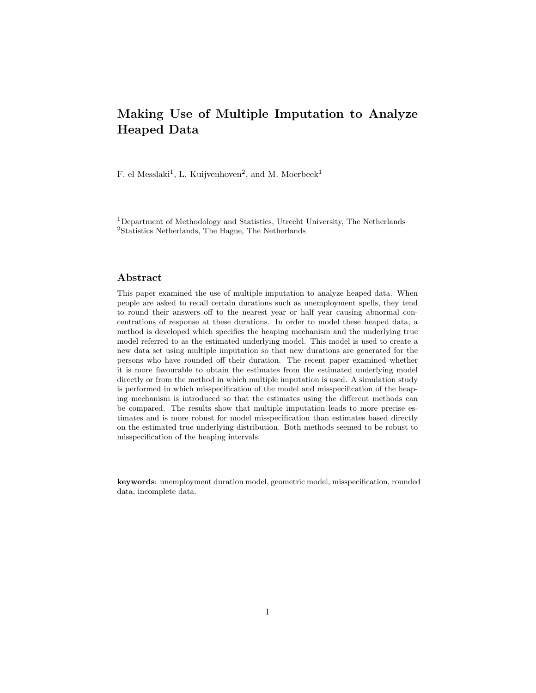# Making Use of Multiple Imputation to Analyze Heaped Data

F. el Messlaki<sup>1</sup>, L. Kuijvenhoven<sup>2</sup>, and M. Moerbeek<sup>1</sup>

<sup>1</sup>Department of Methodology and Statistics, Utrecht University, The Netherlands <sup>2</sup>Statistics Netherlands, The Hague, The Netherlands

### Abstract

This paper examined the use of multiple imputation to analyze heaped data. When people are asked to recall certain durations such as unemployment spells, they tend to round their answers off to the nearest year or half year causing abnormal concentrations of response at these durations. In order to model these heaped data, a method is developed which specifies the heaping mechanism and the underlying true model referred to as the estimated underlying model. This model is used to create a new data set using multiple imputation so that new durations are generated for the persons who have rounded off their duration. The recent paper examined whether it is more favourable to obtain the estimates from the estimated underlying model directly or from the method in which multiple imputation is used. A simulation study is performed in which misspecification of the model and misspecification of the heaping mechanism is introduced so that the estimates using the different methods can be compared. The results show that multiple imputation leads to more precise estimates and is more robust for model misspecification than estimates based directly on the estimated true underlying distribution. Both methods seemed to be robust to misspecification of the heaping intervals.

keywords: unemployment duration model, geometric model, misspecification, rounded data, incomplete data.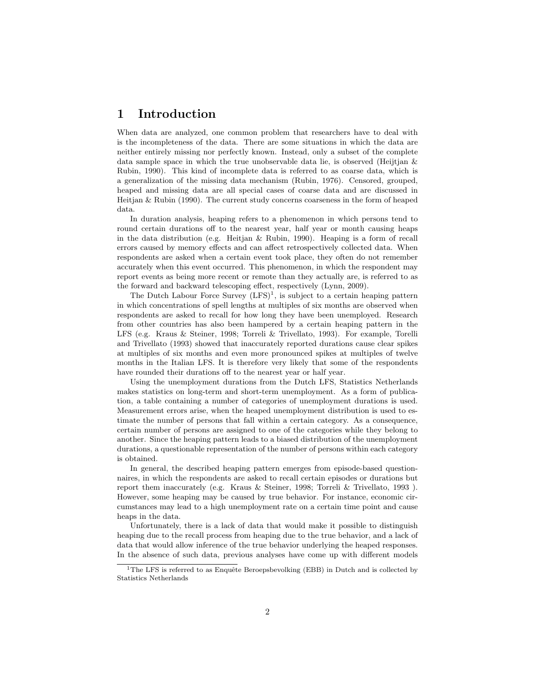## 1 Introduction

When data are analyzed, one common problem that researchers have to deal with is the incompleteness of the data. There are some situations in which the data are neither entirely missing nor perfectly known. Instead, only a subset of the complete data sample space in which the true unobservable data lie, is observed (Heijtjan  $\&$ Rubin, 1990). This kind of incomplete data is referred to as coarse data, which is a generalization of the missing data mechanism (Rubin, 1976). Censored, grouped, heaped and missing data are all special cases of coarse data and are discussed in Heitjan  $&$  Rubin (1990). The current study concerns coarseness in the form of heaped data.

In duration analysis, heaping refers to a phenomenon in which persons tend to round certain durations off to the nearest year, half year or month causing heaps in the data distribution (e.g. Heitjan  $\&$  Rubin, 1990). Heaping is a form of recall errors caused by memory effects and can affect retrospectively collected data. When respondents are asked when a certain event took place, they often do not remember accurately when this event occurred. This phenomenon, in which the respondent may report events as being more recent or remote than they actually are, is referred to as the forward and backward telescoping effect, respectively (Lynn, 2009).

The Dutch Labour Force Survey  $(LFS)^1$ , is subject to a certain heaping pattern in which concentrations of spell lengths at multiples of six months are observed when respondents are asked to recall for how long they have been unemployed. Research from other countries has also been hampered by a certain heaping pattern in the LFS (e.g. Kraus & Steiner, 1998; Torreli & Trivellato, 1993). For example, Torelli and Trivellato (1993) showed that inaccurately reported durations cause clear spikes at multiples of six months and even more pronounced spikes at multiples of twelve months in the Italian LFS. It is therefore very likely that some of the respondents have rounded their durations off to the nearest year or half year.

Using the unemployment durations from the Dutch LFS, Statistics Netherlands makes statistics on long-term and short-term unemployment. As a form of publication, a table containing a number of categories of unemployment durations is used. Measurement errors arise, when the heaped unemployment distribution is used to estimate the number of persons that fall within a certain category. As a consequence, certain number of persons are assigned to one of the categories while they belong to another. Since the heaping pattern leads to a biased distribution of the unemployment durations, a questionable representation of the number of persons within each category is obtained.

In general, the described heaping pattern emerges from episode-based questionnaires, in which the respondents are asked to recall certain episodes or durations but report them inaccurately (e.g. Kraus & Steiner, 1998; Torreli & Trivellato, 1993 ). However, some heaping may be caused by true behavior. For instance, economic circumstances may lead to a high unemployment rate on a certain time point and cause heaps in the data.

Unfortunately, there is a lack of data that would make it possible to distinguish heaping due to the recall process from heaping due to the true behavior, and a lack of data that would allow inference of the true behavior underlying the heaped responses. In the absence of such data, previous analyses have come up with different models

 $1$ The LFS is referred to as Enquête Beroepsbevolking (EBB) in Dutch and is collected by Statistics Netherlands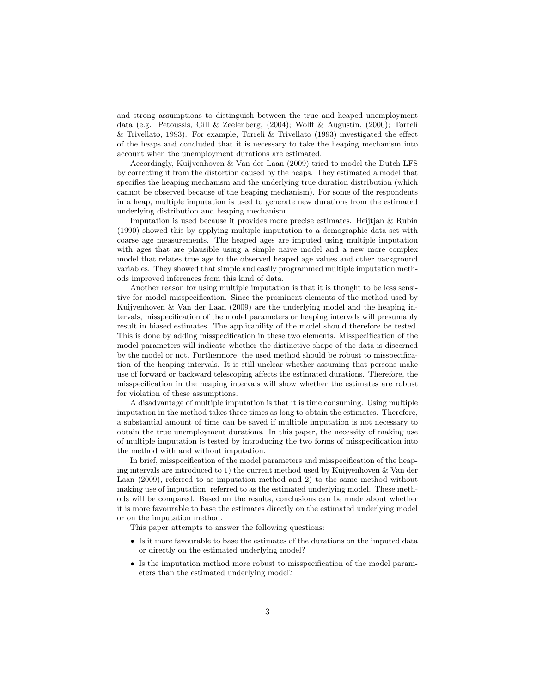and strong assumptions to distinguish between the true and heaped unemployment data (e.g. Petoussis, Gill & Zeelenberg, (2004); Wolff & Augustin, (2000); Torreli & Trivellato, 1993). For example, Torreli & Trivellato (1993) investigated the effect of the heaps and concluded that it is necessary to take the heaping mechanism into account when the unemployment durations are estimated.

Accordingly, Kuijvenhoven & Van der Laan (2009) tried to model the Dutch LFS by correcting it from the distortion caused by the heaps. They estimated a model that specifies the heaping mechanism and the underlying true duration distribution (which cannot be observed because of the heaping mechanism). For some of the respondents in a heap, multiple imputation is used to generate new durations from the estimated underlying distribution and heaping mechanism.

Imputation is used because it provides more precise estimates. Heijtjan & Rubin (1990) showed this by applying multiple imputation to a demographic data set with coarse age measurements. The heaped ages are imputed using multiple imputation with ages that are plausible using a simple naive model and a new more complex model that relates true age to the observed heaped age values and other background variables. They showed that simple and easily programmed multiple imputation methods improved inferences from this kind of data.

Another reason for using multiple imputation is that it is thought to be less sensitive for model misspecification. Since the prominent elements of the method used by Kuijvenhoven & Van der Laan (2009) are the underlying model and the heaping intervals, misspecification of the model parameters or heaping intervals will presumably result in biased estimates. The applicability of the model should therefore be tested. This is done by adding misspecification in these two elements. Misspecification of the model parameters will indicate whether the distinctive shape of the data is discerned by the model or not. Furthermore, the used method should be robust to misspecification of the heaping intervals. It is still unclear whether assuming that persons make use of forward or backward telescoping affects the estimated durations. Therefore, the misspecification in the heaping intervals will show whether the estimates are robust for violation of these assumptions.

A disadvantage of multiple imputation is that it is time consuming. Using multiple imputation in the method takes three times as long to obtain the estimates. Therefore, a substantial amount of time can be saved if multiple imputation is not necessary to obtain the true unemployment durations. In this paper, the necessity of making use of multiple imputation is tested by introducing the two forms of misspecification into the method with and without imputation.

In brief, misspecification of the model parameters and misspecification of the heaping intervals are introduced to 1) the current method used by Kuijvenhoven & Van der Laan (2009), referred to as imputation method and 2) to the same method without making use of imputation, referred to as the estimated underlying model. These methods will be compared. Based on the results, conclusions can be made about whether it is more favourable to base the estimates directly on the estimated underlying model or on the imputation method.

This paper attempts to answer the following questions:

- Is it more favourable to base the estimates of the durations on the imputed data or directly on the estimated underlying model?
- Is the imputation method more robust to misspecification of the model parameters than the estimated underlying model?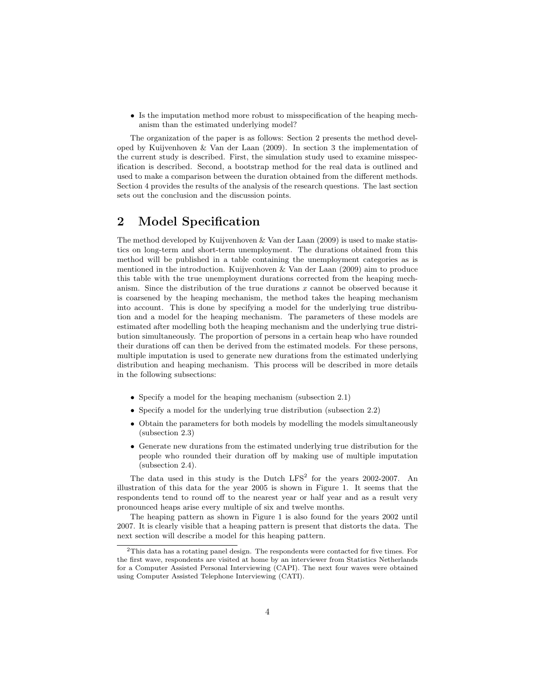• Is the imputation method more robust to misspecification of the heaping mechanism than the estimated underlying model?

The organization of the paper is as follows: Section 2 presents the method developed by Kuijvenhoven & Van der Laan (2009). In section 3 the implementation of the current study is described. First, the simulation study used to examine misspecification is described. Second, a bootstrap method for the real data is outlined and used to make a comparison between the duration obtained from the different methods. Section 4 provides the results of the analysis of the research questions. The last section sets out the conclusion and the discussion points.

## 2 Model Specification

The method developed by Kuijvenhoven & Van der Laan (2009) is used to make statistics on long-term and short-term unemployment. The durations obtained from this method will be published in a table containing the unemployment categories as is mentioned in the introduction. Kuijvenhoven & Van der Laan (2009) aim to produce this table with the true unemployment durations corrected from the heaping mechanism. Since the distribution of the true durations x cannot be observed because it is coarsened by the heaping mechanism, the method takes the heaping mechanism into account. This is done by specifying a model for the underlying true distribution and a model for the heaping mechanism. The parameters of these models are estimated after modelling both the heaping mechanism and the underlying true distribution simultaneously. The proportion of persons in a certain heap who have rounded their durations off can then be derived from the estimated models. For these persons, multiple imputation is used to generate new durations from the estimated underlying distribution and heaping mechanism. This process will be described in more details in the following subsections:

- Specify a model for the heaping mechanism (subsection 2.1)
- Specify a model for the underlying true distribution (subsection 2.2)
- Obtain the parameters for both models by modelling the models simultaneously (subsection 2.3)
- Generate new durations from the estimated underlying true distribution for the people who rounded their duration off by making use of multiple imputation (subsection 2.4).

The data used in this study is the Dutch  $LFS^2$  for the years 2002-2007. An illustration of this data for the year 2005 is shown in Figure 1. It seems that the respondents tend to round off to the nearest year or half year and as a result very pronounced heaps arise every multiple of six and twelve months.

The heaping pattern as shown in Figure 1 is also found for the years 2002 until 2007. It is clearly visible that a heaping pattern is present that distorts the data. The next section will describe a model for this heaping pattern.

<sup>2</sup>This data has a rotating panel design. The respondents were contacted for five times. For the first wave, respondents are visited at home by an interviewer from Statistics Netherlands for a Computer Assisted Personal Interviewing (CAPI). The next four waves were obtained using Computer Assisted Telephone Interviewing (CATI).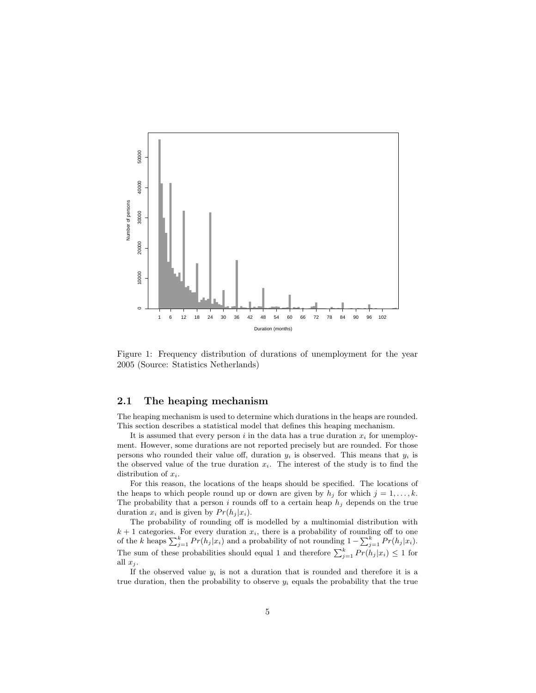

Figure 1: Frequency distribution of durations of unemployment for the year 2005 (Source: Statistics Netherlands)

### 2.1 The heaping mechanism

The heaping mechanism is used to determine which durations in the heaps are rounded. This section describes a statistical model that defines this heaping mechanism.

It is assumed that every person i in the data has a true duration  $x_i$  for unemployment. However, some durations are not reported precisely but are rounded. For those persons who rounded their value off, duration  $y_i$  is observed. This means that  $y_i$  is the observed value of the true duration  $x_i$ . The interest of the study is to find the distribution of  $x_i$ .

For this reason, the locations of the heaps should be specified. The locations of the heaps to which people round up or down are given by  $h_j$  for which  $j = 1, \ldots, k$ . The probability that a person i rounds off to a certain heap  $h_i$  depends on the true duration  $x_i$  and is given by  $Pr(h_i | x_i)$ .

The probability of rounding off is modelled by a multinomial distribution with  $k+1$  categories. For every duration  $x_i$ , there is a probability of rounding off to one of the k heaps  $\sum_{j=1}^{k} Pr(h_j | x_i)$  and a probability of not rounding  $1 - \sum_{j=1}^{k} Pr(h_j | x_i)$ . The sum of these probabilities should equal 1 and therefore  $\sum_{j=1}^{k} Pr(h_j | x_i) \leq 1$  for all  $x_i$ .

If the observed value  $y_i$  is not a duration that is rounded and therefore it is a true duration, then the probability to observe  $y_i$  equals the probability that the true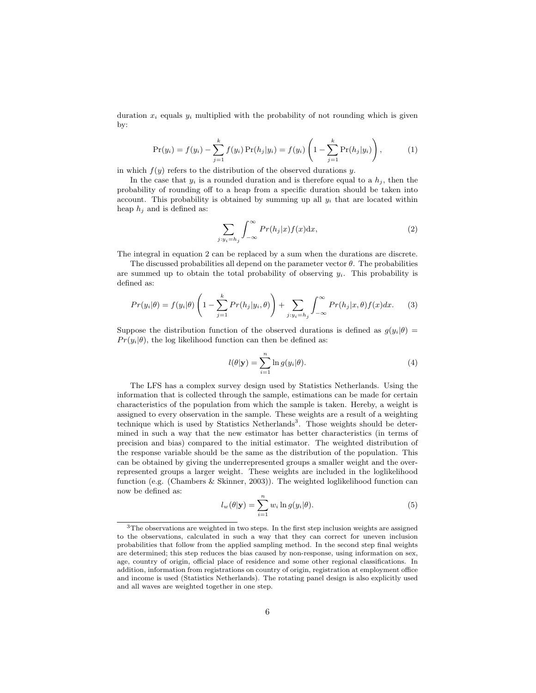duration  $x_i$  equals  $y_i$  multiplied with the probability of not rounding which is given by:

$$
\Pr(y_i) = f(y_i) - \sum_{j=1}^{k} f(y_i) \Pr(h_j|y_i) = f(y_i) \left( 1 - \sum_{j=1}^{k} \Pr(h_j|y_i) \right), \tag{1}
$$

in which  $f(y)$  refers to the distribution of the observed durations y.

In the case that  $y_i$  is a rounded duration and is therefore equal to a  $h_i$ , then the probability of rounding off to a heap from a specific duration should be taken into account. This probability is obtained by summing up all  $y_i$  that are located within heap  $h_i$  and is defined as:

$$
\sum_{j:y_i=h_j} \int_{-\infty}^{\infty} Pr(h_j|x) f(x) dx,
$$
\n(2)

The integral in equation 2 can be replaced by a sum when the durations are discrete.

The discussed probabilities all depend on the parameter vector  $\theta$ . The probabilities are summed up to obtain the total probability of observing  $y_i$ . This probability is defined as:

$$
Pr(y_i|\theta) = f(y_i|\theta) \left(1 - \sum_{j=1}^k Pr(h_j|y_i, \theta)\right) + \sum_{j:y_i=h_j} \int_{-\infty}^{\infty} Pr(h_j|x, \theta) f(x) dx.
$$
 (3)

Suppose the distribution function of the observed durations is defined as  $g(y_i|\theta)$  =  $Pr(y_i|\theta)$ , the log likelihood function can then be defined as:

$$
l(\theta|\mathbf{y}) = \sum_{i=1}^{n} \ln g(y_i|\theta).
$$
 (4)

The LFS has a complex survey design used by Statistics Netherlands. Using the information that is collected through the sample, estimations can be made for certain characteristics of the population from which the sample is taken. Hereby, a weight is assigned to every observation in the sample. These weights are a result of a weighting technique which is used by Statistics Netherlands<sup>3</sup>. Those weights should be determined in such a way that the new estimator has better characteristics (in terms of precision and bias) compared to the initial estimator. The weighted distribution of the response variable should be the same as the distribution of the population. This can be obtained by giving the underrepresented groups a smaller weight and the overrepresented groups a larger weight. These weights are included in the loglikelihood function (e.g. (Chambers & Skinner, 2003)). The weighted loglikelihood function can now be defined as:

$$
l_w(\theta|\mathbf{y}) = \sum_{i=1}^n w_i \ln g(y_i|\theta).
$$
 (5)

<sup>3</sup>The observations are weighted in two steps. In the first step inclusion weights are assigned to the observations, calculated in such a way that they can correct for uneven inclusion probabilities that follow from the applied sampling method. In the second step final weights are determined; this step reduces the bias caused by non-response, using information on sex, age, country of origin, official place of residence and some other regional classifications. In addition, information from registrations on country of origin, registration at employment office and income is used (Statistics Netherlands). The rotating panel design is also explicitly used and all waves are weighted together in one step.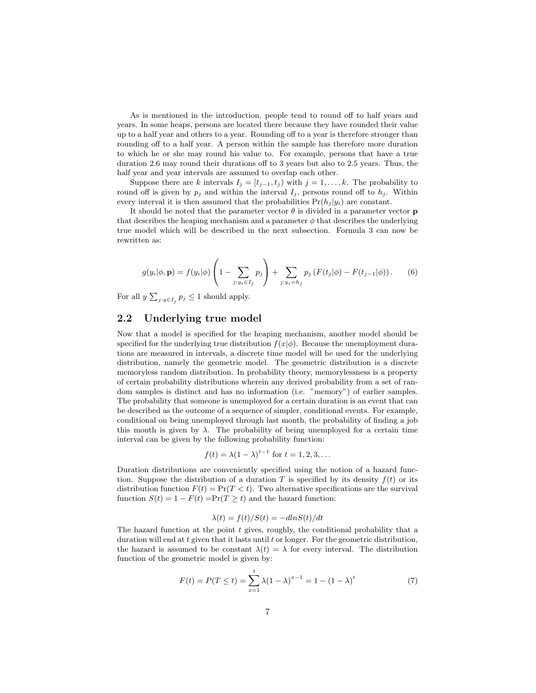As is mentioned in the introduction, people tend to round off to half years and years. In some heaps, persons are located there because they have rounded their value up to a half year and others to a year. Rounding off to a year is therefore stronger than rounding off to a half year. A person within the sample has therefore more duration to which he or she may round his value to. For example, persons that have a true duration 2.6 may round their durations off to 3 years but also to 2.5 years. Thus, the half year and year intervals are assumed to overlap each other.

Suppose there are k intervals  $I_j = [t_{j-1}, t_j)$  with  $j = 1, ..., k$ . The probability to round off is given by  $p_j$  and within the interval  $I_j$ , persons round off to  $h_j$ . Within every interval it is then assumed that the probabilities  $Pr(h_j | y_i)$  are constant.

It should be noted that the parameter vector  $\theta$  is divided in a parameter vector **p** that describes the heaping mechanism and a parameter  $\phi$  that describes the underlying true model which will be described in the next subsection. Formula 3 can now be rewritten as:

$$
g(y_i|\phi, \mathbf{p}) = f(y_i|\phi) \left(1 - \sum_{j:y_i \in I_j} p_j\right) + \sum_{j:y_i = h_j} p_j \left(F(t_j|\phi) - F(t_{j-1}|\phi)\right). \tag{6}
$$

For all  $y \sum_{j:y \in I_j} p_j \leq 1$  should apply.

### 2.2 Underlying true model

Now that a model is specified for the heaping mechanism, another model should be specified for the underlying true distribution  $f(x|\phi)$ . Because the unemployment durations are measured in intervals, a discrete time model will be used for the underlying distribution, namely the geometric model. The geometric distribution is a discrete memoryless random distribution. In probability theory, memorylessness is a property of certain probability distributions wherein any derived probability from a set of random samples is distinct and has no information (i.e. "memory") of earlier samples. The probability that someone is unemployed for a certain duration is an event that can be described as the outcome of a sequence of simpler, conditional events. For example, conditional on being unemployed through last month, the probability of finding a job this month is given by  $\lambda$ . The probability of being unemployed for a certain time interval can be given by the following probability function:

$$
f(t) = \lambda (1 - \lambda)^{t-1}
$$
 for  $t = 1, 2, 3, ...$ 

Duration distributions are conveniently specified using the notion of a hazard function. Suppose the distribution of a duration T is specified by its density  $f(t)$  or its distribution function  $F(t) = \Pr(T \leq t)$ . Two alternative specifications are the survival function  $S(t) = 1 - F(t) = Pr(T \ge t)$  and the hazard function:

$$
\lambda(t) = f(t)/S(t) = -d\ln S(t)/dt
$$

The hazard function at the point  $t$  gives, roughly, the conditional probability that a duration will end at  $t$  given that it lasts until  $t$  or longer. For the geometric distribution, the hazard is assumed to be constant  $\lambda(t) = \lambda$  for every interval. The distribution function of the geometric model is given by:

$$
F(t) = P(T \le t) = \sum_{x=1}^{t} \lambda (1 - \lambda)^{x-1} = 1 - (1 - \lambda)^t
$$
 (7)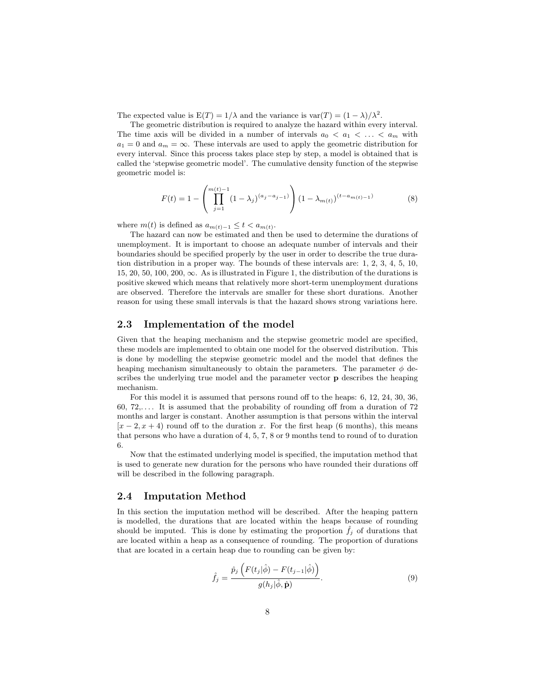The expected value is  $E(T) = 1/\lambda$  and the variance is  $var(T) = (1 - \lambda)/\lambda^2$ .

The geometric distribution is required to analyze the hazard within every interval. The time axis will be divided in a number of intervals  $a_0 < a_1 < \ldots < a_m$  with  $a_1 = 0$  and  $a_m = \infty$ . These intervals are used to apply the geometric distribution for every interval. Since this process takes place step by step, a model is obtained that is called the 'stepwise geometric model'. The cumulative density function of the stepwise geometric model is:

$$
F(t) = 1 - \left(\prod_{j=1}^{m(t)-1} (1 - \lambda_j)^{(a_j - a_{j-1})}\right) (1 - \lambda_{m(t)})^{(t - a_{m(t)-1})}
$$
(8)

where  $m(t)$  is defined as  $a_{m(t)-1} \leq t < a_{m(t)}$ .

The hazard can now be estimated and then be used to determine the durations of unemployment. It is important to choose an adequate number of intervals and their boundaries should be specified properly by the user in order to describe the true duration distribution in a proper way. The bounds of these intervals are: 1, 2, 3, 4, 5, 10, 15, 20, 50, 100, 200,  $\infty$ . As is illustrated in Figure 1, the distribution of the durations is positive skewed which means that relatively more short-term unemployment durations are observed. Therefore the intervals are smaller for these short durations. Another reason for using these small intervals is that the hazard shows strong variations here.

### 2.3 Implementation of the model

Given that the heaping mechanism and the stepwise geometric model are specified, these models are implemented to obtain one model for the observed distribution. This is done by modelling the stepwise geometric model and the model that defines the heaping mechanism simultaneously to obtain the parameters. The parameter  $\phi$  describes the underlying true model and the parameter vector p describes the heaping mechanism.

For this model it is assumed that persons round off to the heaps: 6, 12, 24, 30, 36, 60,  $72...$  It is assumed that the probability of rounding off from a duration of  $72$ months and larger is constant. Another assumption is that persons within the interval  $[x-2, x+4]$  round off to the duration x. For the first heap (6 months), this means that persons who have a duration of 4, 5, 7, 8 or 9 months tend to round of to duration 6.

Now that the estimated underlying model is specified, the imputation method that is used to generate new duration for the persons who have rounded their durations off will be described in the following paragraph.

### 2.4 Imputation Method

In this section the imputation method will be described. After the heaping pattern is modelled, the durations that are located within the heaps because of rounding should be imputed. This is done by estimating the proportion  $f_i$  of durations that are located within a heap as a consequence of rounding. The proportion of durations that are located in a certain heap due to rounding can be given by:

$$
\hat{f}_j = \frac{\hat{p}_j \left( F(t_j | \hat{\phi}) - F(t_{j-1} | \hat{\phi}) \right)}{g(h_j | \hat{\phi}, \hat{\mathbf{p}})}.
$$
\n(9)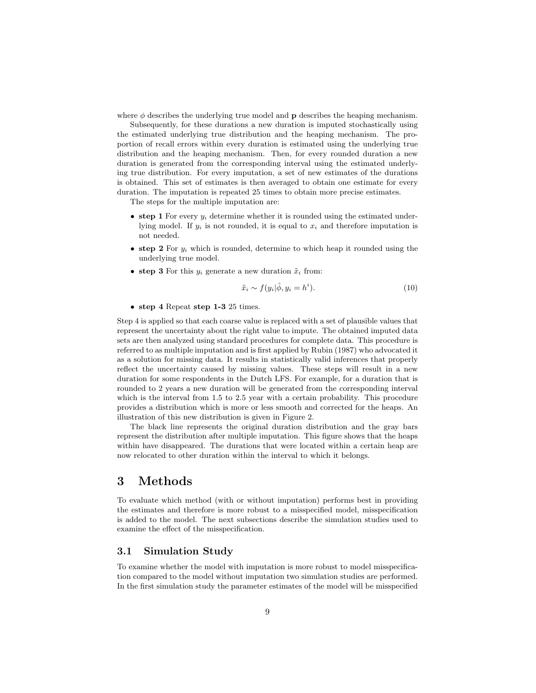where  $\phi$  describes the underlying true model and **p** describes the heaping mechanism.

Subsequently, for these durations a new duration is imputed stochastically using the estimated underlying true distribution and the heaping mechanism. The proportion of recall errors within every duration is estimated using the underlying true distribution and the heaping mechanism. Then, for every rounded duration a new duration is generated from the corresponding interval using the estimated underlying true distribution. For every imputation, a set of new estimates of the durations is obtained. This set of estimates is then averaged to obtain one estimate for every duration. The imputation is repeated 25 times to obtain more precise estimates.

The steps for the multiple imputation are:

- step 1 For every  $y_i$  determine whether it is rounded using the estimated underlying model. If  $y_i$  is not rounded, it is equal to  $x_i$  and therefore imputation is not needed.
- step 2 For  $y_i$  which is rounded, determine to which heap it rounded using the underlying true model.
- step 3 For this  $y_i$  generate a new duration  $\tilde{x}_i$  from:

$$
\tilde{x}_i \sim f(y_i|\hat{\phi}, y_i = h^i). \tag{10}
$$

• step 4 Repeat step 1-3 25 times.

Step 4 is applied so that each coarse value is replaced with a set of plausible values that represent the uncertainty about the right value to impute. The obtained imputed data sets are then analyzed using standard procedures for complete data. This procedure is referred to as multiple imputation and is first applied by Rubin (1987) who advocated it as a solution for missing data. It results in statistically valid inferences that properly reflect the uncertainty caused by missing values. These steps will result in a new duration for some respondents in the Dutch LFS. For example, for a duration that is rounded to 2 years a new duration will be generated from the corresponding interval which is the interval from 1.5 to 2.5 year with a certain probability. This procedure provides a distribution which is more or less smooth and corrected for the heaps. An illustration of this new distribution is given in Figure 2.

The black line represents the original duration distribution and the gray bars represent the distribution after multiple imputation. This figure shows that the heaps within have disappeared. The durations that were located within a certain heap are now relocated to other duration within the interval to which it belongs.

## 3 Methods

To evaluate which method (with or without imputation) performs best in providing the estimates and therefore is more robust to a misspecified model, misspecification is added to the model. The next subsections describe the simulation studies used to examine the effect of the misspecification.

### 3.1 Simulation Study

To examine whether the model with imputation is more robust to model misspecification compared to the model without imputation two simulation studies are performed. In the first simulation study the parameter estimates of the model will be misspecified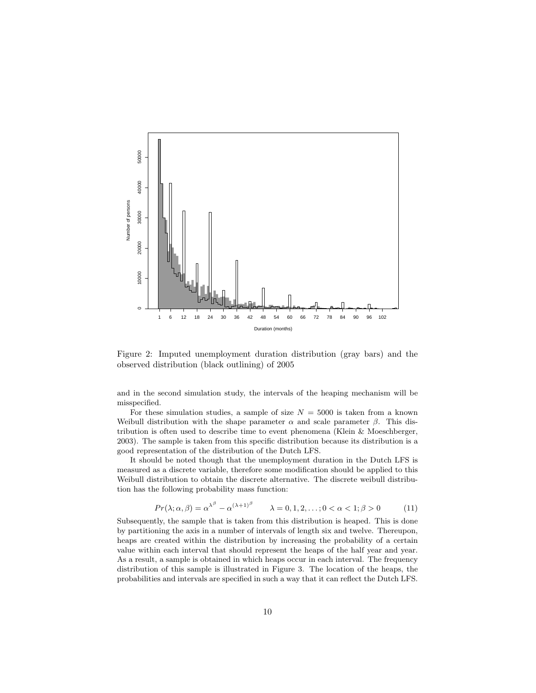

Figure 2: Imputed unemployment duration distribution (gray bars) and the observed distribution (black outlining) of 2005

and in the second simulation study, the intervals of the heaping mechanism will be misspecified.

For these simulation studies, a sample of size  $N = 5000$  is taken from a known Weibull distribution with the shape parameter  $\alpha$  and scale parameter  $\beta$ . This distribution is often used to describe time to event phenomena (Klein & Moeschberger, 2003). The sample is taken from this specific distribution because its distribution is a good representation of the distribution of the Dutch LFS.

It should be noted though that the unemployment duration in the Dutch LFS is measured as a discrete variable, therefore some modification should be applied to this Weibull distribution to obtain the discrete alternative. The discrete weibull distribution has the following probability mass function:

$$
Pr(\lambda; \alpha, \beta) = \alpha^{\lambda^{\beta}} - \alpha^{(\lambda + 1)^{\beta}} \qquad \lambda = 0, 1, 2, \dots; 0 < \alpha < 1; \beta > 0 \tag{11}
$$

Subsequently, the sample that is taken from this distribution is heaped. This is done by partitioning the axis in a number of intervals of length six and twelve. Thereupon, heaps are created within the distribution by increasing the probability of a certain value within each interval that should represent the heaps of the half year and year. As a result, a sample is obtained in which heaps occur in each interval. The frequency distribution of this sample is illustrated in Figure 3. The location of the heaps, the probabilities and intervals are specified in such a way that it can reflect the Dutch LFS.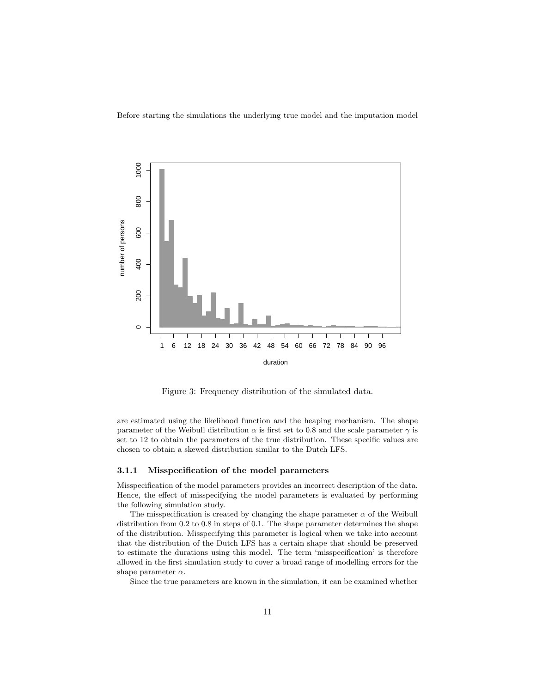Before starting the simulations the underlying true model and the imputation model



Figure 3: Frequency distribution of the simulated data.

are estimated using the likelihood function and the heaping mechanism. The shape parameter of the Weibull distribution  $\alpha$  is first set to 0.8 and the scale parameter  $\gamma$  is set to 12 to obtain the parameters of the true distribution. These specific values are chosen to obtain a skewed distribution similar to the Dutch LFS.

#### 3.1.1 Misspecification of the model parameters

Misspecification of the model parameters provides an incorrect description of the data. Hence, the effect of misspecifying the model parameters is evaluated by performing the following simulation study.

The misspecification is created by changing the shape parameter  $\alpha$  of the Weibull distribution from 0.2 to 0.8 in steps of 0.1. The shape parameter determines the shape of the distribution. Misspecifying this parameter is logical when we take into account that the distribution of the Dutch LFS has a certain shape that should be preserved to estimate the durations using this model. The term 'misspecification' is therefore allowed in the first simulation study to cover a broad range of modelling errors for the shape parameter  $\alpha$ .

Since the true parameters are known in the simulation, it can be examined whether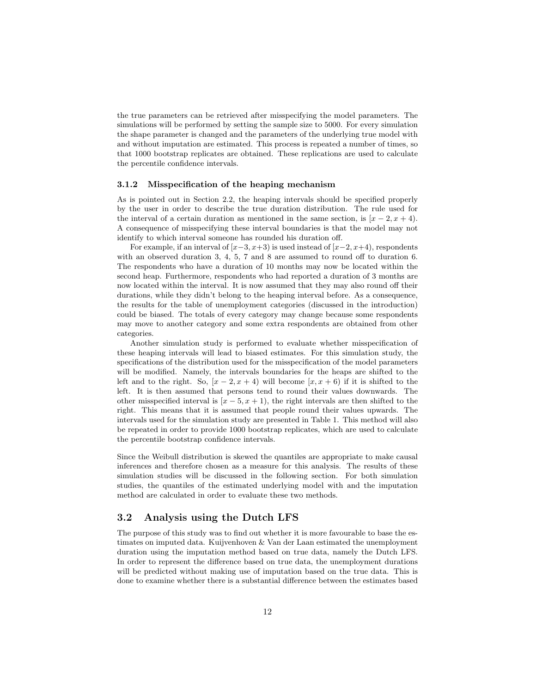the true parameters can be retrieved after misspecifying the model parameters. The simulations will be performed by setting the sample size to 5000. For every simulation the shape parameter is changed and the parameters of the underlying true model with and without imputation are estimated. This process is repeated a number of times, so that 1000 bootstrap replicates are obtained. These replications are used to calculate the percentile confidence intervals.

#### 3.1.2 Misspecification of the heaping mechanism

As is pointed out in Section 2.2, the heaping intervals should be specified properly by the user in order to describe the true duration distribution. The rule used for the interval of a certain duration as mentioned in the same section, is  $[x - 2, x + 4)$ . A consequence of misspecifying these interval boundaries is that the model may not identify to which interval someone has rounded his duration off.

For example, if an interval of  $[x-3, x+3)$  is used instead of  $[x-2, x+4)$ , respondents with an observed duration 3, 4, 5, 7 and 8 are assumed to round off to duration 6. The respondents who have a duration of 10 months may now be located within the second heap. Furthermore, respondents who had reported a duration of 3 months are now located within the interval. It is now assumed that they may also round off their durations, while they didn't belong to the heaping interval before. As a consequence, the results for the table of unemployment categories (discussed in the introduction) could be biased. The totals of every category may change because some respondents may move to another category and some extra respondents are obtained from other categories.

Another simulation study is performed to evaluate whether misspecification of these heaping intervals will lead to biased estimates. For this simulation study, the specifications of the distribution used for the misspecification of the model parameters will be modified. Namely, the intervals boundaries for the heaps are shifted to the left and to the right. So,  $[x - 2, x + 4]$  will become  $[x, x + 6]$  if it is shifted to the left. It is then assumed that persons tend to round their values downwards. The other misspecified interval is  $[x - 5, x + 1]$ , the right intervals are then shifted to the right. This means that it is assumed that people round their values upwards. The intervals used for the simulation study are presented in Table 1. This method will also be repeated in order to provide 1000 bootstrap replicates, which are used to calculate the percentile bootstrap confidence intervals.

Since the Weibull distribution is skewed the quantiles are appropriate to make causal inferences and therefore chosen as a measure for this analysis. The results of these simulation studies will be discussed in the following section. For both simulation studies, the quantiles of the estimated underlying model with and the imputation method are calculated in order to evaluate these two methods.

### 3.2 Analysis using the Dutch LFS

The purpose of this study was to find out whether it is more favourable to base the estimates on imputed data. Kuijvenhoven & Van der Laan estimated the unemployment duration using the imputation method based on true data, namely the Dutch LFS. In order to represent the difference based on true data, the unemployment durations will be predicted without making use of imputation based on the true data. This is done to examine whether there is a substantial difference between the estimates based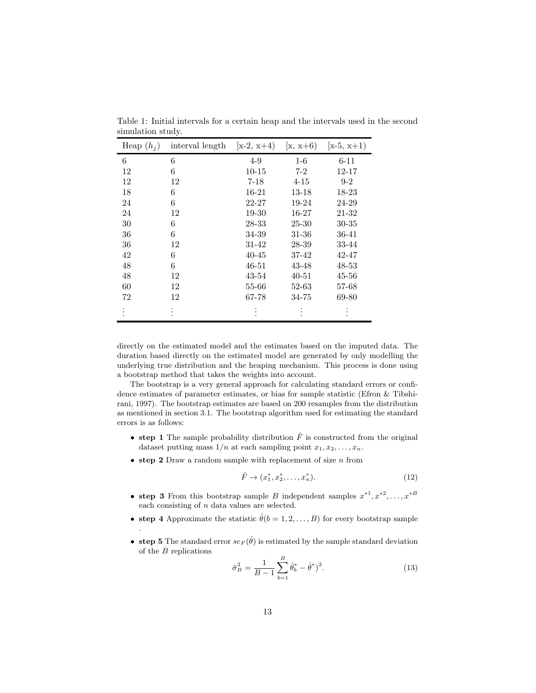| Heap $(h_i)$ | interval length | $[x-2, x+4)$ | $(x, x+6)$ | $(x-5, x+1)$ |
|--------------|-----------------|--------------|------------|--------------|
| 6            | 6               | $4 - 9$      | $1-6$      | $6 - 11$     |
| 12           | 6               | $10 - 15$    | $7-2$      | 12-17        |
| 12           | 12              | $7 - 18$     | $4 - 15$   | $9 - 2$      |
| 18           | 6               | 16-21        | 13-18      | 18-23        |
| 24           | 6               | 22-27        | 19-24      | 24-29        |
| 24           | 12              | 19-30        | 16-27      | 21-32        |
| 30           | 6               | 28-33        | 25-30      | $30 - 35$    |
| 36           | 6               | 34-39        | 31-36      | $36 - 41$    |
| 36           | 12              | 31-42        | 28-39      | 33-44        |
| 42           | 6               | $40 - 45$    | 37-42      | 42-47        |
| 48           | 6               | $46 - 51$    | 43-48      | $48 - 53$    |
| 48           | 12              | 43-54        | $40 - 51$  | $45 - 56$    |
| 60           | 12              | 55-66        | 52-63      | 57-68        |
| 72           | 12              | 67-78        | 34-75      | 69-80        |
|              | ٠               |              |            |              |

Table 1: Initial intervals for a certain heap and the intervals used in the second simulation study.

directly on the estimated model and the estimates based on the imputed data. The duration based directly on the estimated model are generated by only modelling the underlying true distribution and the heaping mechanism. This process is done using a bootstrap method that takes the weights into account.

The bootstrap is a very general approach for calculating standard errors or confidence estimates of parameter estimates, or bias for sample statistic (Efron & Tibshirani, 1997). The bootstrap estimates are based on 200 resamples from the distribution as mentioned in section 3.1. The bootstrap algorithm used for estimating the standard errors is as follows:

- step 1 The sample probability distribution  $\hat{F}$  is constructed from the original dataset putting mass  $1/n$  at each sampling point  $x_1, x_2, \ldots, x_n$ .
- step 2 Draw a random sample with replacement of size  $n$  from

$$
\hat{F} \to (x_1^*, x_2^*, \dots, x_n^*). \tag{12}
$$

- step 3 From this bootstrap sample B independent samples  $x^{*1}, x^{*2}, \ldots, x^{*B}$ each consisting of  $n$  data values are selected.
- step 4 Approximate the statistic  $\hat{\theta}(b = 1, 2, ..., B)$  for every bootstrap sample .
- step 5 The standard error  $se_F(\hat{\theta})$  is estimated by the sample standard deviation of the B replications

$$
\hat{\sigma}_B^2 = \frac{1}{B-1} \sum_{b=1}^B \hat{\theta}_b^* - \hat{\theta}^*)^2.
$$
 (13)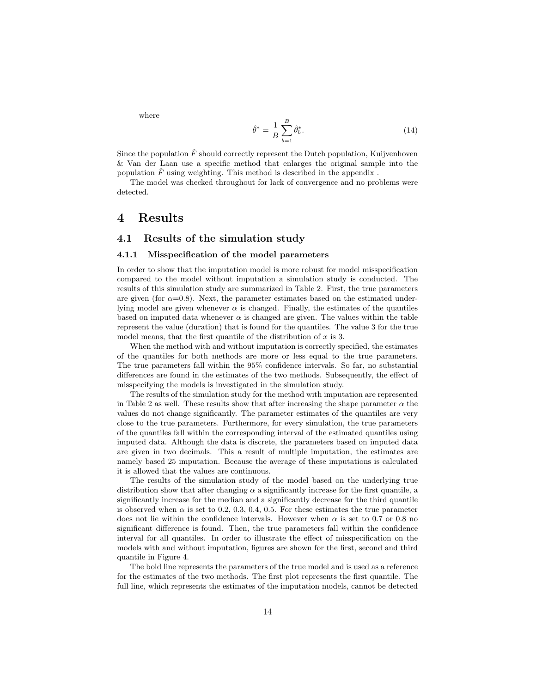where

$$
\hat{\theta}^* = \frac{1}{B} \sum_{b=1}^B \hat{\theta}_b^*.
$$
\n(14)

Since the population  $\hat{F}$  should correctly represent the Dutch population, Kuijvenhoven & Van der Laan use a specific method that enlarges the original sample into the population  $\hat{F}$  using weighting. This method is described in the appendix.

The model was checked throughout for lack of convergence and no problems were detected.

## 4 Results

#### 4.1 Results of the simulation study

#### 4.1.1 Misspecification of the model parameters

In order to show that the imputation model is more robust for model misspecification compared to the model without imputation a simulation study is conducted. The results of this simulation study are summarized in Table 2. First, the true parameters are given (for  $\alpha=0.8$ ). Next, the parameter estimates based on the estimated underlying model are given whenever  $\alpha$  is changed. Finally, the estimates of the quantiles based on imputed data whenever  $\alpha$  is changed are given. The values within the table represent the value (duration) that is found for the quantiles. The value 3 for the true model means, that the first quantile of the distribution of  $x$  is 3.

When the method with and without imputation is correctly specified, the estimates of the quantiles for both methods are more or less equal to the true parameters. The true parameters fall within the 95% confidence intervals. So far, no substantial differences are found in the estimates of the two methods. Subsequently, the effect of misspecifying the models is investigated in the simulation study.

The results of the simulation study for the method with imputation are represented in Table 2 as well. These results show that after increasing the shape parameter  $\alpha$  the values do not change significantly. The parameter estimates of the quantiles are very close to the true parameters. Furthermore, for every simulation, the true parameters of the quantiles fall within the corresponding interval of the estimated quantiles using imputed data. Although the data is discrete, the parameters based on imputed data are given in two decimals. This a result of multiple imputation, the estimates are namely based 25 imputation. Because the average of these imputations is calculated it is allowed that the values are continuous.

The results of the simulation study of the model based on the underlying true distribution show that after changing  $\alpha$  a significantly increase for the first quantile, a significantly increase for the median and a significantly decrease for the third quantile is observed when  $\alpha$  is set to 0.2, 0.3, 0.4, 0.5. For these estimates the true parameter does not lie within the confidence intervals. However when  $\alpha$  is set to 0.7 or 0.8 no significant difference is found. Then, the true parameters fall within the confidence interval for all quantiles. In order to illustrate the effect of misspecification on the models with and without imputation, figures are shown for the first, second and third quantile in Figure 4.

The bold line represents the parameters of the true model and is used as a reference for the estimates of the two methods. The first plot represents the first quantile. The full line, which represents the estimates of the imputation models, cannot be detected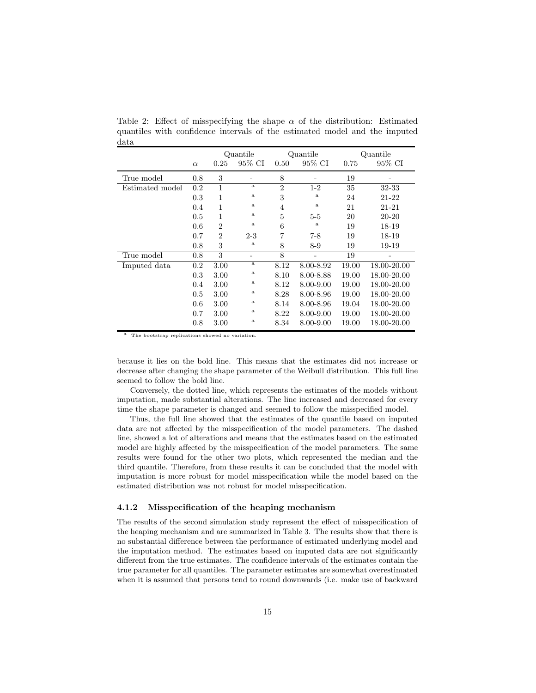|                 |          | Quantile       |              | Quantile       |              | Quantile |             |
|-----------------|----------|----------------|--------------|----------------|--------------|----------|-------------|
|                 | $\alpha$ | 0.25           | 95% CI       | 0.50           | 95% CI       | 0.75     | 95% CI      |
| True model      | 0.8      | 3              |              | 8              |              | 19       |             |
| Estimated model | 0.2      | 1              | $\mathbf{a}$ | $\overline{2}$ | $1-2$        | 35       | 32-33       |
|                 | 0.3      | 1              | $\rm{a}$     | 3              | $\rm{a}$     | 24       | 21-22       |
|                 | 0.4      | 1              | $\rm{a}$     | 4              | a            | 21       | 21-21       |
|                 | 0.5      | 1              | $\rm{a}$     | 5              | $5 - 5$      | 20       | 20-20       |
|                 | 0.6      | $\overline{2}$ | $\rm{a}$     | 6              | $\mathbf{a}$ | 19       | 18-19       |
|                 | 0.7      | $\overline{2}$ | $2 - 3$      | 7              | $7 - 8$      | 19       | 18-19       |
|                 | 0.8      | 3              | $\rm{a}$     | 8              | $8-9$        | 19       | 19-19       |
| True model      | 0.8      | 3              |              | 8              |              | 19       |             |
| Imputed data    | $0.2\,$  | 3.00           | $\rm{a}$     | 8.12           | 8.00-8.92    | 19.00    | 18.00-20.00 |
|                 | 0.3      | 3.00           | $\rm{a}$     | 8.10           | 8.00-8.88    | 19.00    | 18.00-20.00 |
|                 | 0.4      | 3.00           | a            | 8.12           | 8.00-9.00    | 19.00    | 18.00-20.00 |
|                 | 0.5      | 3.00           | a            | 8.28           | 8.00-8.96    | 19.00    | 18.00-20.00 |
|                 | 0.6      | 3.00           | $\rm{a}$     | 8.14           | 8.00-8.96    | 19.04    | 18.00-20.00 |
|                 | 0.7      | 3.00           | $\rm{a}$     | 8.22           | 8.00-9.00    | 19.00    | 18.00-20.00 |
|                 | 0.8      | 3.00           | $\mathbf{a}$ | 8.34           | 8.00-9.00    | 19.00    | 18.00-20.00 |

Table 2: Effect of misspecifying the shape  $\alpha$  of the distribution: Estimated quantiles with confidence intervals of the estimated model and the imputed data

The bootstrap replications showed no variation

because it lies on the bold line. This means that the estimates did not increase or decrease after changing the shape parameter of the Weibull distribution. This full line seemed to follow the bold line.

Conversely, the dotted line, which represents the estimates of the models without imputation, made substantial alterations. The line increased and decreased for every time the shape parameter is changed and seemed to follow the misspecified model.

Thus, the full line showed that the estimates of the quantile based on imputed data are not affected by the misspecification of the model parameters. The dashed line, showed a lot of alterations and means that the estimates based on the estimated model are highly affected by the misspecification of the model parameters. The same results were found for the other two plots, which represented the median and the third quantile. Therefore, from these results it can be concluded that the model with imputation is more robust for model misspecification while the model based on the estimated distribution was not robust for model misspecification.

#### 4.1.2 Misspecification of the heaping mechanism

The results of the second simulation study represent the effect of misspecification of the heaping mechanism and are summarized in Table 3. The results show that there is no substantial difference between the performance of estimated underlying model and the imputation method. The estimates based on imputed data are not significantly different from the true estimates. The confidence intervals of the estimates contain the true parameter for all quantiles. The parameter estimates are somewhat overestimated when it is assumed that persons tend to round downwards (i.e. make use of backward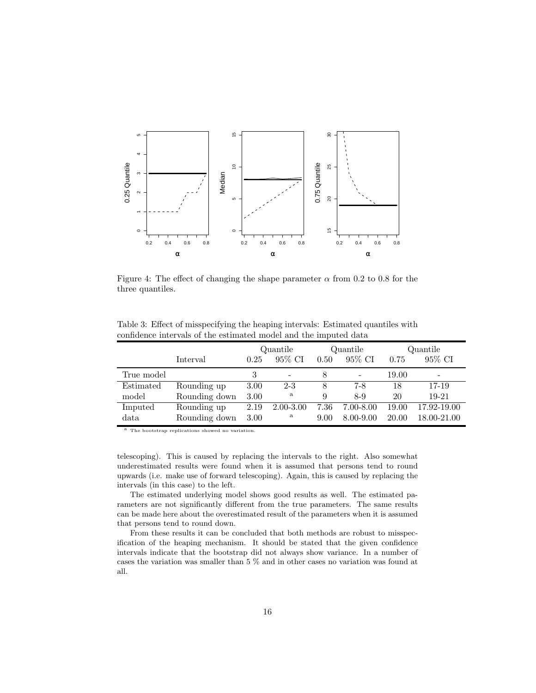

Figure 4: The effect of changing the shape parameter  $\alpha$  from 0.2 to 0.8 for the three quantiles.

|            |               | Quantile |               | Quantile |               | Quantile |                          |
|------------|---------------|----------|---------------|----------|---------------|----------|--------------------------|
|            | Interval      | 0.25     | 95% CI        | 0.50     | 95% CI        | 0.75     | 95% CI                   |
| True model |               | 3        |               | 8        | -             | 19.00    | $\overline{\phantom{0}}$ |
| Estimated  | Rounding up   | 3.00     | $2 - 3$       | 8        | $7-8$         | 18       | 17-19                    |
| model      | Rounding down | 3.00     | a             | 9        | $8-9$         | 20       | $19-21$                  |
| Imputed    | Rounding up   | 2.19     | $2.00 - 3.00$ | 7.36     | $7.00 - 8.00$ | 19.00    | 17.92-19.00              |
| data       | Rounding down | 3.00     | a             | 9.00     | 8.00-9.00     | 20.00    | 18.00-21.00              |

Table 3: Effect of misspecifying the heaping intervals: Estimated quantiles with confidence intervals of the estimated model and the imputed data

a The bootstrap replications showed no variation.

telescoping). This is caused by replacing the intervals to the right. Also somewhat underestimated results were found when it is assumed that persons tend to round upwards (i.e. make use of forward telescoping). Again, this is caused by replacing the intervals (in this case) to the left.

The estimated underlying model shows good results as well. The estimated parameters are not significantly different from the true parameters. The same results can be made here about the overestimated result of the parameters when it is assumed that persons tend to round down.

From these results it can be concluded that both methods are robust to misspecification of the heaping mechanism. It should be stated that the given confidence intervals indicate that the bootstrap did not always show variance. In a number of cases the variation was smaller than 5 % and in other cases no variation was found at all.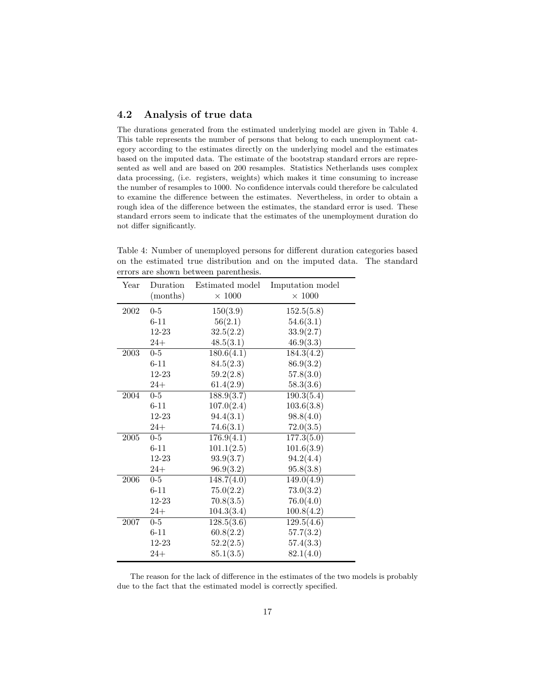### 4.2 Analysis of true data

The durations generated from the estimated underlying model are given in Table 4. This table represents the number of persons that belong to each unemployment category according to the estimates directly on the underlying model and the estimates based on the imputed data. The estimate of the bootstrap standard errors are represented as well and are based on 200 resamples. Statistics Netherlands uses complex data processing, (i.e. registers, weights) which makes it time consuming to increase the number of resamples to 1000. No confidence intervals could therefore be calculated to examine the difference between the estimates. Nevertheless, in order to obtain a rough idea of the difference between the estimates, the standard error is used. These standard errors seem to indicate that the estimates of the unemployment duration do not differ significantly.

| Year | Duration<br>(months) | Estimated model<br>$\times$ 1000 | Imputation model<br>$\times$ 1000 |
|------|----------------------|----------------------------------|-----------------------------------|
| 2002 | $0-5$                | 150(3.9)                         | 152.5(5.8)                        |
|      | $6 - 11$             | 56(2.1)                          | 54.6(3.1)                         |
|      | 12-23                | 32.5(2.2)                        | 33.9(2.7)                         |
|      | $24+$                | 48.5(3.1)                        | 46.9(3.3)                         |
| 2003 | $\overline{0}$ -5    | 180.6(4.1)                       | 184.3(4.2)                        |
|      | $6 - 11$             | 84.5(2.3)                        | 86.9(3.2)                         |
|      | 12-23                | 59.2(2.8)                        | 57.8(3.0)                         |
|      | $24+$                | 61.4(2.9)                        | 58.3(3.6)                         |
| 2004 | $0 - 5$              | 188.9(3.7)                       | 190.3(5.4)                        |
|      | $6 - 11$             | 107.0(2.4)                       | 103.6(3.8)                        |
|      | 12-23                | 94.4(3.1)                        | 98.8(4.0)                         |
|      | $24+$                | 74.6(3.1)                        | 72.0(3.5)                         |
| 2005 | $0-5$                | 176.9(4.1)                       | 177.3(5.0)                        |
|      | $6 - 11$             | 101.1(2.5)                       | 101.6(3.9)                        |
|      | 12-23                | 93.9(3.7)                        | 94.2(4.4)                         |
|      | $24+$                | 96.9(3.2)                        | 95.8(3.8)                         |
| 2006 | $0-5$                | 148.7(4.0)                       | $\overline{149.0(4.9)}$           |
|      | $6 - 11$             | 75.0(2.2)                        | 73.0(3.2)                         |
|      | 12-23                | 70.8(3.5)                        | 76.0(4.0)                         |
|      | $24+$                | 104.3(3.4)                       | 100.8(4.2)                        |
| 2007 | $0-5$                | 128.5(3.6)                       | 129.5(4.6)                        |
|      | $6 - 11$             | 60.8(2.2)                        | 57.7(3.2)                         |
|      | $12 - 23$            | 52.2(2.5)                        | 57.4(3.3)                         |
|      | $24+$                | 85.1(3.5)                        | 82.1(4.0)                         |

Table 4: Number of unemployed persons for different duration categories based on the estimated true distribution and on the imputed data. The standard errors are shown between parenthesis.

The reason for the lack of difference in the estimates of the two models is probably due to the fact that the estimated model is correctly specified.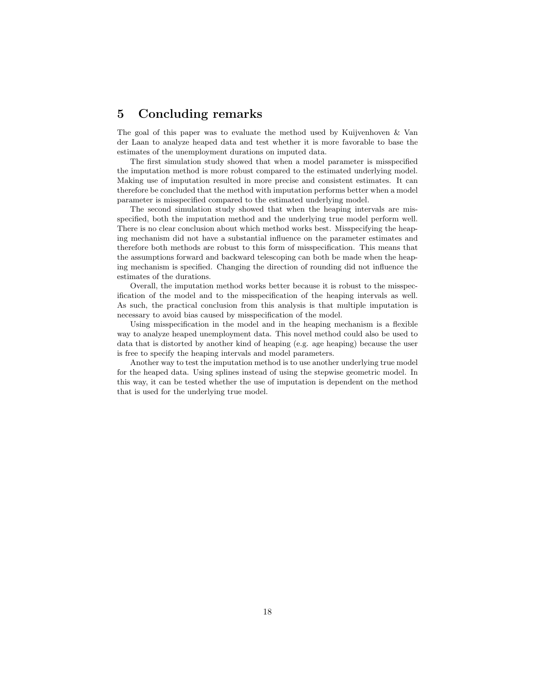## 5 Concluding remarks

The goal of this paper was to evaluate the method used by Kuijvenhoven & Van der Laan to analyze heaped data and test whether it is more favorable to base the estimates of the unemployment durations on imputed data.

The first simulation study showed that when a model parameter is misspecified the imputation method is more robust compared to the estimated underlying model. Making use of imputation resulted in more precise and consistent estimates. It can therefore be concluded that the method with imputation performs better when a model parameter is misspecified compared to the estimated underlying model.

The second simulation study showed that when the heaping intervals are misspecified, both the imputation method and the underlying true model perform well. There is no clear conclusion about which method works best. Misspecifying the heaping mechanism did not have a substantial influence on the parameter estimates and therefore both methods are robust to this form of misspecification. This means that the assumptions forward and backward telescoping can both be made when the heaping mechanism is specified. Changing the direction of rounding did not influence the estimates of the durations.

Overall, the imputation method works better because it is robust to the misspecification of the model and to the misspecification of the heaping intervals as well. As such, the practical conclusion from this analysis is that multiple imputation is necessary to avoid bias caused by misspecification of the model.

Using misspecification in the model and in the heaping mechanism is a flexible way to analyze heaped unemployment data. This novel method could also be used to data that is distorted by another kind of heaping (e.g. age heaping) because the user is free to specify the heaping intervals and model parameters.

Another way to test the imputation method is to use another underlying true model for the heaped data. Using splines instead of using the stepwise geometric model. In this way, it can be tested whether the use of imputation is dependent on the method that is used for the underlying true model.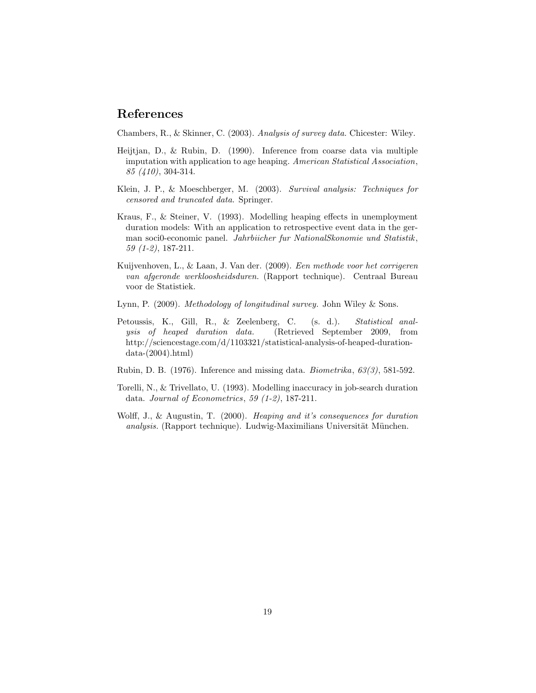# References

Chambers, R., & Skinner, C. (2003). Analysis of survey data. Chicester: Wiley.

- Heijtjan, D., & Rubin, D. (1990). Inference from coarse data via multiple imputation with application to age heaping. American Statistical Association, 85 (410), 304-314.
- Klein, J. P., & Moeschberger, M. (2003). Survival analysis: Techniques for censored and truncated data. Springer.
- Kraus, F., & Steiner, V. (1993). Modelling heaping effects in unemployment duration models: With an application to retrospective event data in the german soci0-economic panel. Jahrbiicher fur NationalSkonomie und Statistik , 59 (1-2), 187-211.
- Kuijvenhoven, L., & Laan, J. Van der. (2009). Een methode voor het corrigeren van afgeronde werkloosheidsduren. (Rapport technique). Centraal Bureau voor de Statistiek.
- Lynn, P. (2009). Methodology of longitudinal survey. John Wiley & Sons.
- Petoussis, K., Gill, R., & Zeelenberg, C. (s. d.). Statistical analysis of heaped duration data. (Retrieved September 2009, from http://sciencestage.com/d/1103321/statistical-analysis-of-heaped-duration $data-(2004).html)$
- Rubin, D. B. (1976). Inference and missing data. Biometrika, 63(3), 581-592.
- Torelli, N., & Trivellato, U. (1993). Modelling inaccuracy in job-search duration data. Journal of Econometrics, 59 (1-2), 187-211.
- Wolff, J., & Augustin, T. (2000). Heaping and it's consequences for duration analysis. (Rapport technique). Ludwig-Maximilians Universität München.